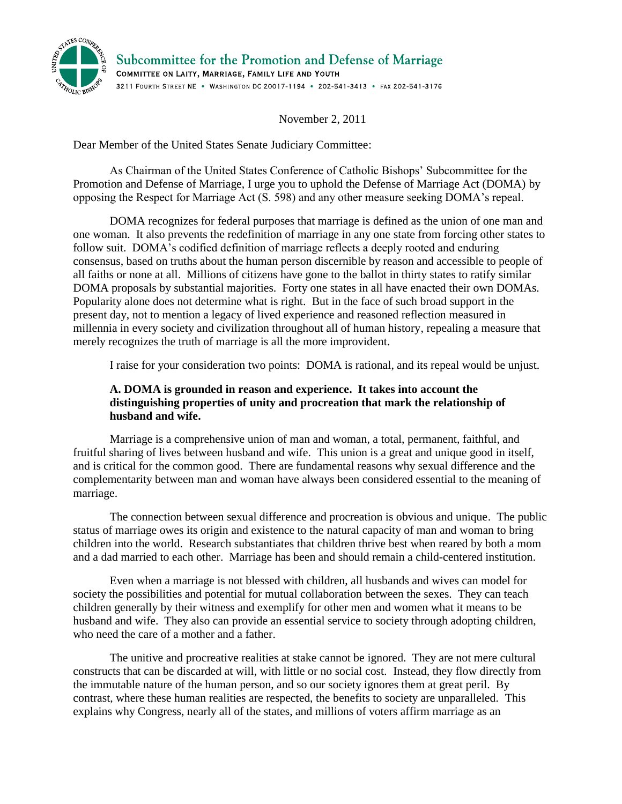

Subcommittee for the Promotion and Defense of Marriage COMMITTEE ON LAITY, MARRIAGE, FAMILY LIFE AND YOUTH 3211 FOURTH STREET NE . WASHINGTON DC 20017-1194 . 202-541-3413 . FAX 202-541-3176

November 2, 2011

Dear Member of the United States Senate Judiciary Committee:

As Chairman of the United States Conference of Catholic Bishops' Subcommittee for the Promotion and Defense of Marriage, I urge you to uphold the Defense of Marriage Act (DOMA) by opposing the Respect for Marriage Act (S. 598) and any other measure seeking DOMA's repeal.

DOMA recognizes for federal purposes that marriage is defined as the union of one man and one woman. It also prevents the redefinition of marriage in any one state from forcing other states to follow suit. DOMA's codified definition of marriage reflects a deeply rooted and enduring consensus, based on truths about the human person discernible by reason and accessible to people of all faiths or none at all. Millions of citizens have gone to the ballot in thirty states to ratify similar DOMA proposals by substantial majorities. Forty one states in all have enacted their own DOMAs. Popularity alone does not determine what is right. But in the face of such broad support in the present day, not to mention a legacy of lived experience and reasoned reflection measured in millennia in every society and civilization throughout all of human history, repealing a measure that merely recognizes the truth of marriage is all the more improvident.

I raise for your consideration two points: DOMA is rational, and its repeal would be unjust.

## **A. DOMA is grounded in reason and experience. It takes into account the distinguishing properties of unity and procreation that mark the relationship of husband and wife.**

Marriage is a comprehensive union of man and woman, a total, permanent, faithful, and fruitful sharing of lives between husband and wife. This union is a great and unique good in itself, and is critical for the common good. There are fundamental reasons why sexual difference and the complementarity between man and woman have always been considered essential to the meaning of marriage.

The connection between sexual difference and procreation is obvious and unique. The public status of marriage owes its origin and existence to the natural capacity of man and woman to bring children into the world. Research substantiates that children thrive best when reared by both a mom and a dad married to each other. Marriage has been and should remain a child-centered institution.

Even when a marriage is not blessed with children, all husbands and wives can model for society the possibilities and potential for mutual collaboration between the sexes. They can teach children generally by their witness and exemplify for other men and women what it means to be husband and wife. They also can provide an essential service to society through adopting children, who need the care of a mother and a father.

The unitive and procreative realities at stake cannot be ignored. They are not mere cultural constructs that can be discarded at will, with little or no social cost. Instead, they flow directly from the immutable nature of the human person, and so our society ignores them at great peril. By contrast, where these human realities are respected, the benefits to society are unparalleled. This explains why Congress, nearly all of the states, and millions of voters affirm marriage as an